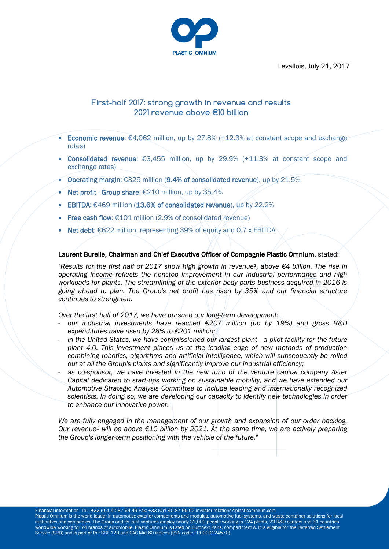Levallois, July 21, 2017



## **First-half 2017: strong growth in revenue and results 2021 revenue above €10 billion**

- Economic revenue:  $€4,062$  million, up by 27.8% (+12.3% at constant scope and exchange rates)
- Consolidated revenue:  $€3,455$  million, up by 29.9% (+11.3% at constant scope and exchange rates)
- Operating margin: €325 million (9.4% of consolidated revenue), up by 21.5%
- Net profit Group share: €210 million, up by 35.4%
- **EBITDA:** €469 million (13.6% of consolidated revenue), up by 22.2%
- Free cash flow: €101 million (2.9% of consolidated revenue)
- Net debt:  $€622$  million, representing 39% of equity and 0.7 x EBITDA

### Laurent Burelle, Chairman and Chief Executive Officer of Compagnie Plastic Omnium, stated:

*"Results for the first half of 2017 show high growth in revenue1, above €4 billion. The rise in operating income reflects the nonstop improvement in our industrial performance and high workloads for plants. The streamlining of the exterior body parts business acquired in 2016 is going ahead to plan. The Group's net profit has risen by 35% and our financial structure continues to strenghten.*

*Over the first half of 2017, we have pursued our long-term development:*

- *our industrial investments have reached €207 million (up by 19%) and gross R&D expenditures have risen by 28% to €201 million;*
- *in the United States, we have commissioned our largest plant - a pilot facility for the future plant 4.0. This investment places us at the leading edge of new methods of production combining robotics, algorithms and artificial intelligence, which will subsequently be rolled out at all the Group's plants and significantly improve our industrial efficiency;*
- as co-sponsor, we have invested in the new fund of the venture capital company Aster *Capital dedicated to start-ups working on sustainable mobility, and we have extended our Automotive Strategic Analysis Committee to include leading and internationally recognized scientists. In doing so, we are developing our capacity to identify new technologies in order to enhance our innovative power.*

*We are fully engaged in the management of our growth and expansion of our order backlog. Our revenue<sup>1</sup> will be above €10 billion by 2021. At the same time, we are actively preparing the Group's longer-term positioning with the vehicle of the future."*

Financial information Tel.: +33 (0)1 40 87 64 49 Fax: +33 (0)1 40 87 96 62 investor.relations@plasticomnium.com

Plastic Omnium is the world leader in automotive exterior components and modules, automotive fuel systems, and waste container solutions for local authorities and companies. The Group and its joint ventures employ nearly 32,000 people working in 124 plants, 23 R&D centers and 31 countries worldwide working for 74 brands of automobile. Plastic Omnium is listed on Euronext Paris, compartment A. It is eligible for the Deferred Settlement Service (SRD) and is part of the SBF 120 and CAC Mid 60 indices (ISIN code: FR0000124570).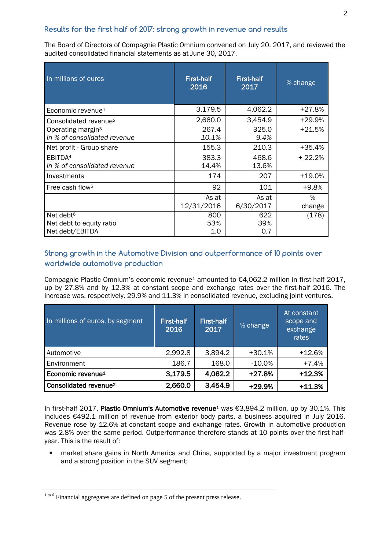## **Results for the first half of 2017: strong growth in revenue and results**

The Board of Directors of Compagnie Plastic Omnium convened on July 20, 2017, and reviewed the audited consolidated financial statements as at June 30, 2017.

| in millions of euros                                                 | <b>First-half</b><br>2016 | <b>First-half</b><br>2017 | % change    |
|----------------------------------------------------------------------|---------------------------|---------------------------|-------------|
| Economic revenue <sup>1</sup>                                        | 3,179.5                   | 4,062.2                   | +27.8%      |
| Consolidated revenue <sup>2</sup>                                    | 2,660.0                   | 3,454.9                   | +29.9%      |
| Operating margin <sup>3</sup><br>in % of consolidated revenue        | 267.4<br>10.1%            | 325.0<br>9.4%             | $+21.5%$    |
| Net profit - Group share                                             | 155.3                     | 210.3                     | $+35.4%$    |
| EBITDA <sup>4</sup><br>in % of consolidated revenue                  | 383.3<br>14.4%            | 468.6<br>13.6%            | + 22.2%     |
| Investments                                                          | 174                       | 207                       | +19.0%      |
| Free cash flow <sup>5</sup>                                          | 92                        | 101                       | +9.8%       |
|                                                                      | As at<br>12/31/2016       | As at<br>6/30/2017        | %<br>change |
| Net debt <sup>6</sup><br>Net debt to equity ratio<br>Net debt/EBITDA | 800<br>53%<br>1.0         | 622<br>39%<br>0.7         | (178)       |

## **Strong growth in the Automotive Division and outperformance of 10 points over worldwide automotive production**

Compagnie Plastic Omnium's economic revenue<sup>1</sup> amounted to €4,062.2 million in first-half 2017, up by 27.8% and by 12.3% at constant scope and exchange rates over the first-half 2016. The increase was, respectively, 29.9% and 11.3% in consolidated revenue, excluding joint ventures.

| In millions of euros, by segment  | <b>First-half</b><br>2016 | <b>First-half</b><br>2017 | % change  | At constant<br>scope and<br>exchange<br>rates |
|-----------------------------------|---------------------------|---------------------------|-----------|-----------------------------------------------|
| Automotive                        | 2,992.8                   | 3,894.2                   | $+30.1%$  | $+12.6%$                                      |
| Environment                       | 186.7                     | 168.0                     | $-10.0\%$ | $+7.4%$                                       |
| Economic revenue <sup>1</sup>     | 3,179.5                   | 4,062.2                   | $+27.8%$  | $+12.3%$                                      |
| Consolidated revenue <sup>2</sup> | 2,660.0                   | 3,454.9                   | +29.9%    | $+11.3%$                                      |

In first-half 2017, Plastic Omnium's Automotive revenue<sup>1</sup> was €3,894.2 million, up by 30.1%. This includes €492.1 million of revenue from exterior body parts, a business acquired in July 2016. Revenue rose by 12.6% at constant scope and exchange rates. Growth in automotive production was 2.8% over the same period. Outperformance therefore stands at 10 points over the first halfyear. This is the result of:

**EXT** market share gains in North America and China, supported by a major investment program and a strong position in the SUV segment;

<sup>1 to 6</sup> Financial aggregates are defined on page 5 of the present press release.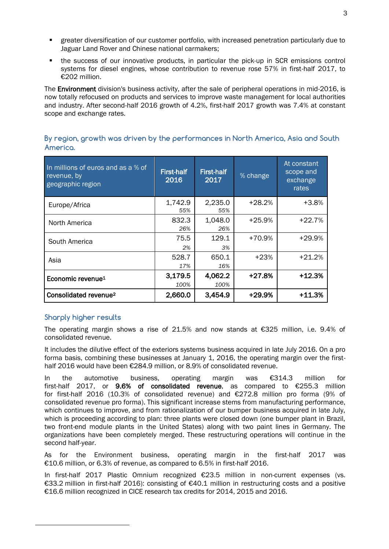- greater diversification of our customer portfolio, with increased penetration particularly due to Jaguar Land Rover and Chinese national carmakers;
- the success of our innovative products, in particular the pick-up in SCR emissions control systems for diesel engines, whose contribution to revenue rose 57% in first-half 2017, to €202 million.

The Environment division's business activity, after the sale of peripheral operations in mid-2016, is now totally refocused on products and services to improve waste management for local authorities and industry. After second-half 2016 growth of 4.2%, first-half 2017 growth was 7.4% at constant scope and exchange rates.

| In millions of euros and as a % of<br>revenue, by<br>geographic region | <b>First-half</b><br>2016 | First-half<br>2017 | % change | At constant<br>scope and<br>exchange<br>rates |
|------------------------------------------------------------------------|---------------------------|--------------------|----------|-----------------------------------------------|
| Europe/Africa                                                          | 1,742.9<br>55%            | 2,235.0<br>55%     | $+28.2%$ | $+3.8%$                                       |
| North America                                                          | 832.3<br>26%              | 1,048.0<br>26%     | $+25.9%$ | $+22.7%$                                      |
| South America                                                          | 75.5<br>2%                | 129.1<br>3%        | +70.9%   | +29.9%                                        |
| Asia                                                                   | 528.7<br>17%              | 650.1<br>16%       | $+23%$   | $+21.2%$                                      |
| Economic revenue <sup>1</sup>                                          | 3,179.5<br>100%           | 4,062.2<br>100%    | $+27.8%$ | $+12.3%$                                      |
| Consolidated revenue <sup>2</sup>                                      | 2,660.0                   | 3,454.9            | +29.9%   | $+11.3%$                                      |

## **By region, growth was driven by the performances in North America, Asia and South America.**

# **Sharply higher results**

 $\overline{a}$ 

The operating margin shows a rise of 21.5% and now stands at €325 million, i.e. 9.4% of consolidated revenue.

It includes the dilutive effect of the exteriors systems business acquired in late July 2016. On a pro forma basis, combining these businesses at January 1, 2016, the operating margin over the firsthalf 2016 would have been €284.9 million, or 8.9% of consolidated revenue.

In the automotive business, operating margin was €314.3 million for first-half 2017, or 9.6% of consolidated revenue, as compared to €255.3 million for first-half 2016 (10.3% of consolidated revenue) and €272.8 million pro forma (9% of consolidated revenue pro forma). This significant increase stems from manufacturing performance, which continues to improve, and from rationalization of our bumper business acquired in late July. which is proceeding according to plan: three plants were closed down (one bumper plant in Brazil, two front-end module plants in the United States) along with two paint lines in Germany. The organizations have been completely merged. These restructuring operations will continue in the second half-year.

As for the Environment business, operating margin in the first-half 2017 was €10.6 million, or 6.3% of revenue, as compared to 6.5% in first-half 2016.

In first-half 2017 Plastic Omnium recognized €23.5 million in non-current expenses (vs. €33.2 million in first-half 2016): consisting of €40.1 million in restructuring costs and a positive €16.6 million recognized in CICE research tax credits for 2014, 2015 and 2016.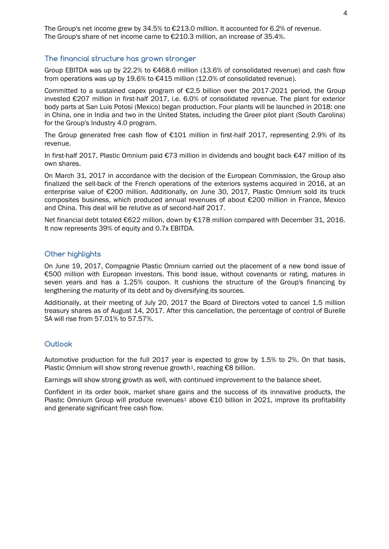The Group's net income grew by 34.5% to €213.0 million. It accounted for 6.2% of revenue. The Group's share of net income came to €210.3 million, an increase of 35.4%.

#### **The financial structure has grown stronger**

Group EBITDA was up by 22.2% to €468.6 million (13.6% of consolidated revenue) and cash flow from operations was up by 19.6% to  $\epsilon$ 415 million (12.0% of consolidated revenue).

Committed to a sustained capex program of €2.5 billion over the 2017-2021 period, the Group invested €207 million in first-half 2017, i.e. 6.0% of consolidated revenue. The plant for exterior body parts at San Luis Potosi (Mexico) began production. Four plants will be launched in 2018: one in China, one in India and two in the United States, including the Greer pilot plant (South Carolina) for the Group's Industry 4.0 program.

The Group generated free cash flow of  $E101$  million in first-half 2017, representing 2.9% of its revenue.

In first-half 2017, Plastic Omnium paid €73 million in dividends and bought back €47 million of its own shares.

On March 31, 2017 in accordance with the decision of the European Commission, the Group also finalized the sell-back of the French operations of the exteriors systems acquired in 2016, at an enterprise value of €200 million. Additionally, on June 30, 2017, Plastic Omnium sold its truck composites business, which produced annual revenues of about €200 million in France, Mexico and China. This deal will be relutive as of second-half 2017.

Net financial debt totaled €622 million, down by €178 million compared with December 31, 2016. It now represents 39% of equity and 0.7x EBITDA.

## **Other highlights**

On June 19, 2017, Compagnie Plastic Omnium carried out the placement of a new bond issue of €500 million with European investors. This bond issue, without covenants or rating, matures in seven years and has a 1.25% coupon. It cushions the structure of the Group's financing by lengthening the maturity of its debt and by diversifying its sources.

Additionally, at their meeting of July 20, 2017 the Board of Directors voted to cancel 1.5 million treasury shares as of August 14, 2017. After this cancellation, the percentage of control of Burelle SA will rise from 57.01% to 57.57%.

#### **Outlook**

Automotive production for the full 2017 year is expected to grow by 1.5% to 2%. On that basis, Plastic Omnium will show strong revenue growth<sup>1</sup>, reaching €8 billion.

Earnings will show strong growth as well, with continued improvement to the balance sheet.

Confident in its order book, market share gains and the success of its innovative products, the Plastic Omnium Group will produce revenues<sup>1</sup> above €10 billion in 2021, improve its profitability and generate significant free cash flow.